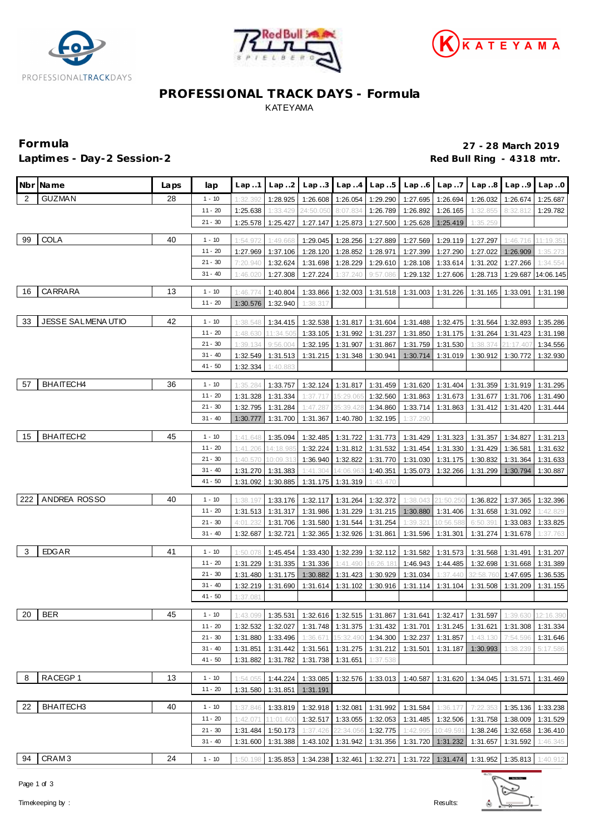





# **PROFESSIONAL TRACK DAYS - Formula** KATEYAMA

### Laptimes - Day-2 Session-2 *Laptimes - Day-2 Session-2* **Red Bull Ring - 4318 mtr.**

**Formula 27 - 28 March 2019**

|     | Nbr Name                 | Laps | lap       | Lap.1    | Lap.2             | Lap.3     | Lap4              | Lap.5             | Lap6     | Lap.7             | Lap.8                                                                   | Lap9      | Lap.0              |
|-----|--------------------------|------|-----------|----------|-------------------|-----------|-------------------|-------------------|----------|-------------------|-------------------------------------------------------------------------|-----------|--------------------|
| 2   | <b>GUZMAN</b>            | 28   | $1 - 10$  | 1:32.392 | 1:28.925          | 1:26.608  | 1:26.054          | 1:29.290          | 1:27.695 | 1:26.694          | 1:26.032                                                                | 1:26.674  | 1:25.687           |
|     |                          |      | $11 - 20$ | 1:25.638 | 1:33.429          | 24:50.050 | 8:07.834          | 1:26.789          | 1:26.892 | 1:26.165          | 1:32.855                                                                | 8:32.812  | 1:29.782           |
|     |                          |      | $21 - 30$ | 1:25.578 | 1:25.427          | 1:27.147  | 1:25.873          | 1:27.500          | 1:25.628 | 1:25.419          | 1:35.259                                                                |           |                    |
| 99  | <b>COLA</b>              | 40   | $1 - 10$  | 1:54.972 | 1:49.668          | 1:29.045  | 1:28.256          | 1:27.889          | 1:27.569 | 1:29.119          | 1:27.297                                                                | 1:46.716  | 11:19.351          |
|     |                          |      | $11 - 20$ | 1:27.969 | 1:37.106          | 1:28.120  | 1:28.852          | 1:28.971          | 1:27.399 | 1:27.290          | 1:27.022                                                                | 1:26.909  | 1:35.273           |
|     |                          |      | $21 - 30$ | 7:20.940 | 1:32.624          | 1:31.698  | 1:28.229          | 1:29.610          | 1:28.108 | 1:33.614          | 1:31.202                                                                | 1:27.266  | 1:34.554           |
|     |                          |      | $31 - 40$ | 1:46.020 | 1:27.308          | 1:27.224  | 1:37.240          | 9:57.086          | 1:29.132 | 1:27.606          | 1:28.713                                                                |           | 1:29.687 14:06.145 |
| 16  | CARRARA                  | 13   | $1 - 10$  | 1:46.774 | 1:40.804          | 1:33.866  | 1:32.003          | 1:31.518          | 1:31.003 | 1:31.226          | 1:31.165                                                                | 1:33.091  | 1:31.198           |
|     |                          |      | $11 - 20$ | 1:30.576 | 1:32.940          | 1:38.317  |                   |                   |          |                   |                                                                         |           |                    |
|     |                          |      |           |          |                   |           |                   |                   |          |                   |                                                                         |           |                    |
| 33  | <b>JESSE SALMENAUTIO</b> | 42   | $1 - 10$  | 1:38.548 | 1:34.415          | 1:32.538  | 1:31.817          | 1:31.604          | 1:31.488 | 1:32.475          | 1:31.564                                                                | 1:32.893  | 1:35.286           |
|     |                          |      | $11 - 20$ | 1:48.630 | 11:34.505         | 1:33.105  | 1:31.992          | 1:31.237          | 1:31.850 | 1:31.175          | 1:31.264                                                                | 1:31.423  | 1:31.198           |
|     |                          |      | $21 - 30$ | 1:39.134 | 9:56.004          | 1:32.195  | 1:31.907          | 1:31.867          | 1:31.759 | 1:31.530          | 1:38.374                                                                | 21:17.407 | 1:34.556           |
|     |                          |      | $31 - 40$ | 1:32.549 | 1:31.513          | 1:31.215  | 1:31.348          | 1:30.941          | 1:30.714 | 1:31.019          | 1:30.912                                                                | 1:30.772  | 1:32.930           |
|     |                          |      | $41 - 50$ | 1:32.334 | 1:40.883          |           |                   |                   |          |                   |                                                                         |           |                    |
| 57  | BHAITECH4                | 36   | $1 - 10$  | 1:35.284 | 1:33.757          | 1:32.124  | 1:31.817          | 1:31.459          |          | 1:31.620 1:31.404 | 1:31.359                                                                | 1:31.919  | 1:31.295           |
|     |                          |      | $11 - 20$ | 1:31.328 | 1:31.334          | 1:37.717  | 15:29.065         | 1:32.560          | 1:31.863 | 1:31.673          | 1:31.677                                                                | 1:31.706  | 1:31.490           |
|     |                          |      | $21 - 30$ | 1:32.795 | 1:31.284          | 1:47.287  | 35:39.428         | 1:34.860          | 1:33.714 | 1:31.863          | 1:31.412                                                                | 1:31.420  | 1:31.444           |
|     |                          |      | $31 - 40$ | 1:30.777 | 1:31.700          | 1:31.367  | 1:40.780          | 1:32.195          | 1:37.290 |                   |                                                                         |           |                    |
|     |                          |      |           |          |                   |           |                   |                   |          |                   |                                                                         |           |                    |
| 15  | BHAITECH <sub>2</sub>    | 45   | $1 - 10$  | 1:41.648 | 1:35.094          | 1:32.485  | 1:31.722          | 1:31.773          | 1:31.429 | 1:31.323          | 1:31.357                                                                | 1:34.827  | 1:31.213           |
|     |                          |      | $11 - 20$ | 1:41.206 | 14:18.985         | 1:32.224  | 1:31.812          | 1:31.532          | 1:31.454 | 1:31.330          | 1:31.429                                                                | 1:36.581  | 1:31.632           |
|     |                          |      | $21 - 30$ | 1:40.570 | 10:09.313         | 1:36.940  | 1:32.822          | 1:31.770          | 1:31.030 | 1:31.175          | 1:30.832                                                                | 1:31.364  | 1:31.633           |
|     |                          |      | $31 - 40$ | 1:31.270 | 1:31.383          | 1:41.304  | 14:06.963         | 1:40.351          | 1:35.073 | 1:32.266          | 1:31.299                                                                | 1:30.794  | 1:30.887           |
|     |                          |      | $41 - 50$ | 1:31.092 | 1:30.885          | 1:31.175  | 1:31.319          | 1:43.470          |          |                   |                                                                         |           |                    |
| 222 | ANDREA ROSSO             | 40   | $1 - 10$  | 1:38.197 | 1:33.176          | 1:32.117  | 1:31.264          | 1:32.372          | 1:38.043 | 21:50.25(         | 1:36.822                                                                | 1:37.365  | 1:32.396           |
|     |                          |      | $11 - 20$ | 1:31.513 | 1:31.317          | 1:31.986  | 1:31.229          | 1:31.215          | 1:30.880 | 1:31.406          | 1:31.658                                                                | 1:31.092  | 1:42.829           |
|     |                          |      | $21 - 30$ | 4:01.232 | 1:31.706          | 1:31.580  | 1:31.544          | 1:31.254          | 1:39.321 | 10:56.588         | 6:50.391                                                                | 1:33.083  | 1:33.825           |
|     |                          |      | $31 - 40$ | 1:32.687 | 1:32.721          | 1:32.365  | 1:32.926          | 1:31.861          | 1:31.596 | 1:31.301          | 1:31.274                                                                | 1:31.678  | 1:37.763           |
| 3   | <b>EDGAR</b>             | 41   | $1 - 10$  | 1:50.078 | 1:45.454          | 1:33.430  | 1:32.239          | 1:32.112          | 1:31.582 | 1:31.573          | 1:31.568                                                                | 1:31.491  | 1:31.207           |
|     |                          |      | $11 - 20$ | 1:31.229 | 1:31.335          | 1:31.336  | 1:41.490          | 16:26.181         | 1:46.943 | 1:44.485          | 1:32.698                                                                | 1:31.668  | 1:31.389           |
|     |                          |      | $21 - 30$ | 1:31.480 | 1:31.175          | 1:30.882  | 1:31.423          | 1:30.929          | 1:31.034 | 1:37.440          | 32:58.760                                                               | 1:47.695  | 1:36.535           |
|     |                          |      | $31 - 40$ | 1:32.219 | 1:31.690          | 1:31.614  | 1:31.102          | 1:30.916          | 1:31.114 | 1:31.104          | 1:31.508                                                                | 1:31.209  | 1:31.155           |
|     |                          |      | $41 - 50$ | 1:37.081 |                   |           |                   |                   |          |                   |                                                                         |           |                    |
|     |                          |      |           |          |                   |           |                   |                   |          |                   |                                                                         |           |                    |
| 20  | <b>BER</b>               | 45   | $1 - 10$  |          | 1:43.099 1:35.531 |           |                   |                   |          |                   | 1:32.616   1:32.515   1:31.867   1:31.641   1:32.417   1:31.597         | 1:39.630  | 12:16.390          |
|     |                          |      | $11 - 20$ | 1:32.532 | 1:32.027          |           |                   |                   |          |                   | 1:31.748 1:31.375 1:31.432 1:31.701 1:31.245 1:31.621 1:31.308 1:31.334 |           |                    |
|     |                          |      | $21 - 30$ | 1:31.880 | 1:33.496          | 1:36.671  | 15:32.490         | 1:34.300          | 1:32.237 | 1:31.857          | 1:43.130                                                                | 7:54.596  | 1:31.646           |
|     |                          |      | $31 - 40$ | 1:31.851 | 1:31.442          | 1:31.561  |                   | 1:31.275 1:31.212 | 1:31.501 | 1:31.187          | 1:30.993                                                                | 1:38.239  | 5:17.586           |
|     |                          |      | $41 - 50$ | 1:31.882 | 1:31.782          | 1:31.738  | 1:31.651          | 1:37.538          |          |                   |                                                                         |           |                    |
| 8   | RACEGP1                  | 13   | $1 - 10$  | 1:54.055 | 1:44.224          | 1:33.085  | 1:32.576          | 1:33.013          | 1:40.587 | 1:31.620          | 1:34.045                                                                | 1:31.571  | 1:31.469           |
|     |                          |      | $11 - 20$ | 1:31.580 | 1:31.851          | 1:31.191  |                   |                   |          |                   |                                                                         |           |                    |
| 22  | BHAITECH3                | 40   | $1 - 10$  | 1:37.846 | 1:33.819          |           | 1:32.918 1:32.081 | 1:31.992          | 1:31.584 | 1:36.177          | 7:22.353                                                                | 1:35.136  | 1:33.238           |
|     |                          |      | $11 - 20$ | 1:42.071 | 11:01.600         | 1:32.517  | 1:33.055          | 1:32.053          | 1:31.485 | 1:32.506          | 1:31.758                                                                | 1:38.009  | 1:31.529           |
|     |                          |      | $21 - 30$ | 1:31.484 | 1:50.173          | 1:37.426  | 22:34.056         | 1:32.775          | 1:42.995 | 10:49.591         | 1:38.246                                                                | 1:32.658  | 1:36.410           |
|     |                          |      | $31 - 40$ | 1:31.600 | 1:31.388          | 1:43.102  | 1:31.942          | 1:31.356          |          | 1:31.720 1:31.232 | 1:31.657                                                                | 1:31.592  | 1:46.345           |
|     |                          |      |           |          |                   |           |                   |                   |          |                   |                                                                         |           |                    |
| 94  | CRAM <sub>3</sub>        | 24   | $1 - 10$  | 1:50.198 |                   |           |                   |                   |          |                   | 1:35.853 1:34.238 1:32.461 1:32.271 1:31.722 1:31.474 1:31.952 1:35.813 |           | 1:40.912           |

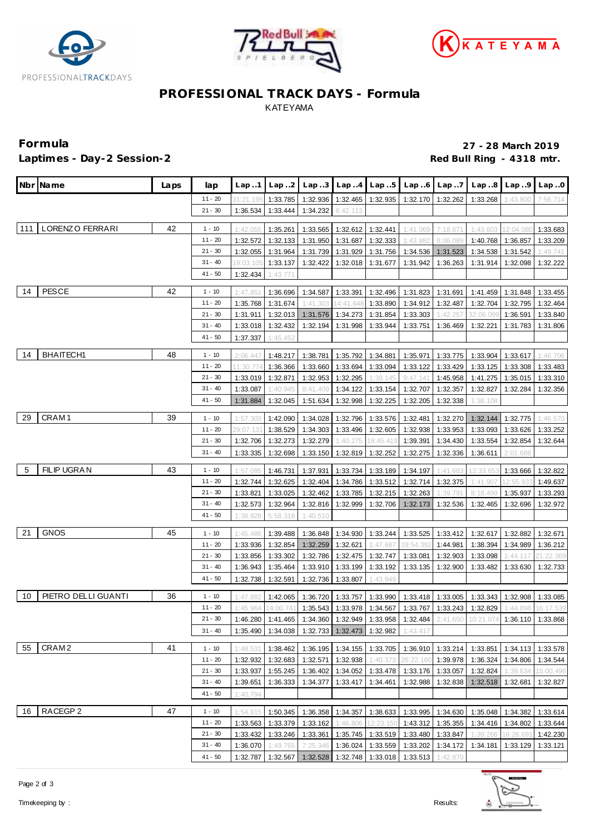





# **PROFESSIONAL TRACK DAYS - Formula** KATEYAMA

**Formula 27 - 28 March 2019** Laptimes - Day-2 Session-2 *Laptimes - Day-2 Session-2* **Red Bull Ring - 4318 mtr.** 

| Nbr Name                    | Laps | lap       | Lap.1                | Lap.2                | Lap.3                | Lap.4                | Lap.5                |                                  | $Lap.6$ $Lap.7$      |                                                                                            | $Lap.8$ $Lap.9$ $Lap.0$    |                      |
|-----------------------------|------|-----------|----------------------|----------------------|----------------------|----------------------|----------------------|----------------------------------|----------------------|--------------------------------------------------------------------------------------------|----------------------------|----------------------|
|                             |      | $11 - 20$ | 31:21.19             | 1:33.785             | 1:32.936             | 1:32.465             | 1:32.935             |                                  | 1:32.170 1:32.262    | 1:33.268                                                                                   | 1:43.800                   | 7:56.714             |
|                             |      | $21 - 30$ | 1:36.534             | 1:33.444             | 1:34.232             | 8:42.113             |                      |                                  |                      |                                                                                            |                            |                      |
| LORENZO FERRARI<br>111      | 42   | $1 - 10$  | 1:42.05              | 1:35.261             | 1:33.565             | 1:32.612             | 1:32.441             | 1:41.069                         | 7:18.67              | 1:43.603                                                                                   | 12:04.08                   | 1:33.683             |
|                             |      | $11 - 20$ | 1:32.572             | 1:32.133             | 1:31.950             | 1:31.687             | 1:32.333             | 1:43.882                         | 8:06.089             |                                                                                            | 1:40.768 1:36.857          | 1:33.209             |
|                             |      | $21 - 30$ | 1:32.055             | 1:31.964             | 1:31.739             | 1:31.929             | 1:31.756             | 1:34.536                         | 1:31.523             | 1:34.538                                                                                   | 1:31.542                   | 1:49.741             |
|                             |      | $31 - 40$ | 19:03.105            | 1:33.137             | 1:32.422             | 1:32.018             | 1:31.677             | 1:31.942                         | 1:36.263             | 1:31.914                                                                                   | 1:32.098                   | 1:32.222             |
|                             |      | $41 - 50$ | 1:32.434             | 1:43.771             |                      |                      |                      |                                  |                      |                                                                                            |                            |                      |
| <b>PESCE</b><br>14          | 42   | $1 - 10$  | 1:47.851             | 1:36.696             | 1:34.587             | 1:33.391             | 1:32.496             | 1:31.823                         | 1:31.691             | 1:41.459                                                                                   | 1:31.848                   | 1:33.455             |
|                             |      | $11 - 20$ | 1:35.768             | 1:31.674             | 1:41.303             | 14:41.648            | 1:33.890             | 1:34.912                         | 1:32.487             | 1:32.704                                                                                   | 1:32.795                   | 1:32.464             |
|                             |      | $21 - 30$ | 1:31.911             | 1:32.013             | 1:31.576             | 1:34.273             | 1:31.854             | 1:33.303                         | 1:42.257             | 32:06.099                                                                                  | 1:36.591                   | 1:33.840             |
|                             |      | $31 - 40$ | 1:33.018             | 1:32.432             | 1:32.194             | 1:31.998             | 1:33.944             | 1:33.751                         | 1:36.469             | 1:32.221                                                                                   | 1:31.783                   | 1:31.806             |
|                             |      | $41 - 50$ | 1:37.337             | 1:45.452             |                      |                      |                      |                                  |                      |                                                                                            |                            |                      |
|                             |      |           |                      |                      |                      |                      |                      |                                  |                      |                                                                                            |                            |                      |
| <b>BHAITECH1</b><br>14      | 48   | $1 - 10$  | 2:06.447             | 1:48.217             | 1:38.781             | 1:35.792             | 1:34.881             | 1:35.971                         | 1:33.775             |                                                                                            | 1:33.904 1:33.617          | 1:46.706             |
|                             |      | $11 - 20$ | 1:30.77              | 1:36.366             | 1:33.660             | 1:33.694             | 1:33.094             | 1:33.122                         | 1:33.429             | 1:33.125                                                                                   | 1:33.308                   | 1:33.483             |
|                             |      | $21 - 30$ | 1:33.019             | 1:32.871             | 1:32.953             | 1:32.295             | 1:39.145             | 9:47.141                         | 1:45.958             | 1:41.275                                                                                   | 1:35.015                   | 1:33.310             |
|                             |      | $31 - 40$ | 1:33.087             | 1:40.945             | 8:41.409             | 1:34.122             | 1:33.154             | 1:32.707                         | 1:32.357             | 1:32.827                                                                                   | 1:32.284                   | 1:32.356             |
|                             |      | $41 - 50$ | 1:31.884             | 1:32.045             | 1:51.634             | 1:32.998             | 1:32.225             | 1:32.205                         | 1:32.338             | 1:38.108                                                                                   |                            |                      |
| CRAM <sub>1</sub><br>-29    | 39   | $1 - 10$  | 1:57.303             | 1:42.090             | 1:34.028             | 1:32.796             | 1:33.576             | 1:32.481                         | 1:32.270             | 1:32.144                                                                                   | 1:32.775                   | 1:46.570             |
|                             |      | $11 - 20$ | 29:07.131            | 1:38.529             | 1:34.303             | 1:33.496             | 1:32.605             | 1:32.938                         | 1:33.953             | 1:33.093                                                                                   | 1:33.626                   | 1:33.252             |
|                             |      | $21 - 30$ | 1:32.706             | 1:32.273             | 1:32.279             | 1:40.275             | 18:45.419            | 1:39.391                         | 1:34.430             | 1:33.554                                                                                   | 1:32.854                   | 1:32.644             |
|                             |      | $31 - 40$ | 1:33.335             | 1:32.698             | 1:33.150             | 1:32.819             | 1:32.252             | 1:32.275                         | 1:32.336             | 1:36.611                                                                                   | 2:01.688                   |                      |
| FILIP UGRAN<br>$-5$         | 43   | $1 - 10$  |                      |                      |                      |                      |                      |                                  |                      |                                                                                            |                            |                      |
|                             |      | $11 - 20$ | 1:57.095<br>1:32.744 | 1:46.731<br>1:32.625 | 1:37.931             | 1:33.734<br>1:34.786 | 1:33.189             | 1:34.197<br>1:32.714             | 1:41.683             | 12:33.65<br>1:41.907                                                                       | 1:33.666<br>12:55.93       | 1:32.822             |
|                             |      | $21 - 30$ | 1:33.821             | 1:33.025             | 1:32.404<br>1:32.462 | 1:33.785             | 1:33.512<br>1:32.215 | 1:32.263                         | 1:32.375<br>1:39.791 | 8:18.499                                                                                   | 1:35.937                   | 1:49.637<br>1:33.293 |
|                             |      | 31 - 40   | 1:32.573             | 1:32.964             | 1:32.816             | 1:32.999             | 1:32.706             | 1:32.173                         | 1:32.536             | 1:32.465                                                                                   | 1:32.696                   | 1:32.972             |
|                             |      | $41 - 50$ | 1:38.928             | 5:58.318             | 1:40.510             |                      |                      |                                  |                      |                                                                                            |                            |                      |
|                             |      |           |                      |                      |                      |                      |                      |                                  |                      |                                                                                            |                            |                      |
| 21<br><b>GNOS</b>           | 45   | $1 - 10$  | 1:45.486             | 1:39.488             | 1:36.848             | 1:34.930             | 1:33.244             | 1:33.525                         | 1:33.412             | 1:32.617                                                                                   | 1:32.882                   | 1:32.671             |
|                             |      | $11 - 20$ | 1:33.936             | 1:32.854             | 1:32.259             | 1:32.621             | 1:47.687             | 19:54.392                        | 1:44.981             | 1:38.394                                                                                   | 1:34.989                   | 1:36.212             |
|                             |      | $21 - 30$ | 1:33.856             | 1:33.302             | 1:32.786             | 1:32.475             | 1:32.747             | 1:33.081                         | 1:32.903             | 1:33.098                                                                                   | 1:44.117                   | 21:22.369            |
|                             |      | $31 - 40$ | 1:36.943             | 1:35.464             | 1:33.910             | 1:33.199             | 1:33.192             | 1:33.135                         | 1:32.900             | 1:33.482                                                                                   | 1:33.630                   | 1:32.733             |
|                             |      | $41 - 50$ | 1:32.738             | 1:32.591             | 1:32.736             | 1:33.807             | 1:43.949             |                                  |                      |                                                                                            |                            |                      |
| PIETRO DELLI GUANTI<br>- 10 | 36   | $1 - 10$  | 1:47.882             | 1:42.065             | 1:36.720             | 1:33.757             | 1:33.990             |                                  | 1:33.418 1:33.005    |                                                                                            | 1:33.343 1:32.908 1:33.085 |                      |
|                             |      | $11 - 20$ | 1:45.964             | 14:00.741            | 1:35.543             | 1:33.978 1:34.567    |                      |                                  |                      | 1:33.767 1:33.243 1:32.829                                                                 | 1:44.898                   | 16:17.539            |
|                             |      | $21 - 30$ |                      |                      |                      |                      |                      |                                  |                      | 1:46.280 1:41.465 1:34.360 1:32.949 1:33.958 1:32.484 2:41.650 10:21.074 1:36.110 1:33.868 |                            |                      |
|                             |      | $31 - 40$ | 1:35.490             | 1:34.038             | 1:32.733             | 1:32.473             | 1:32.982             | 1:43.417                         |                      |                                                                                            |                            |                      |
| CRAM <sub>2</sub><br>55     | 41   | $1 - 10$  | 1:48.531             | 1:38.462             | 1:36.195             | 1:34.155             | 1:33.705             | 1:36.910                         | 1:33.214             | 1:33.851                                                                                   | 1:34.113                   | 1:33.578             |
|                             |      | 11 - 20   | 1:32.932             | 1:32.683             | 1:32.571             | 1:32.938             | 1:40.373             | 26:22.160                        | 1:39.978             | 1:36.324                                                                                   | 1:34.806                   | 1:34.544             |
|                             |      | $21 - 30$ | 1:33.937             | 1:55.245             | 1:36.402             | 1:34.052             | 1:33.478             | 1:33.176                         | 1:33.057             | 1:32.824                                                                                   | 1:39.634                   | 15:00.496            |
|                             |      | 31 - 40   | 1:39.651             | 1:36.333             | 1:34.377             | 1:33.417             | 1:34.461             | 1:32.988                         | 1:32.838             | 1:32.518                                                                                   | 1:32.681                   | 1:32.827             |
|                             |      | 41 - 50   | 1:40.794             |                      |                      |                      |                      |                                  |                      |                                                                                            |                            |                      |
| RACEGP <sub>2</sub><br>16   | 47   | $1 - 10$  | 1:54.815             | 1:50.345             | 1:36.358             | 1:34.357             | 1:38.633             |                                  | 1:33.995 1:34.630    |                                                                                            | 1:35.048 1:34.382          | 1:33.614             |
|                             |      | 11 - 20   | 1:33.563             | 1:33.379             | 1:33.162             | 1:46.806             | 12:23.15(            | 1:43.312                         | 1:35.355             | 1:34.416                                                                                   | 1:34.802                   | 1:33.644             |
|                             |      | $21 - 30$ | 1:33.432             | 1:33.246             | 1:33.361             | 1:35.745             | 1:33.519             | 1:33.480                         | 1:33.847             | 1:39.266                                                                                   | 16:26.69                   | 1:42.230             |
|                             |      | $31 - 40$ | 1:36.070             | 1:49.765             | 7:25.346             | 1:36.024             | 1:33.559             | 1:33.202                         | 1:34.172             | 1:34.181                                                                                   | 1:33.129                   | 1:33.121             |
|                             |      | $41 - 50$ | 1:32.787             | 1:32.567             | 1:32.528             |                      |                      | $1:32.748$   1:33.018   1:33.513 | 1:42.870             |                                                                                            |                            |                      |